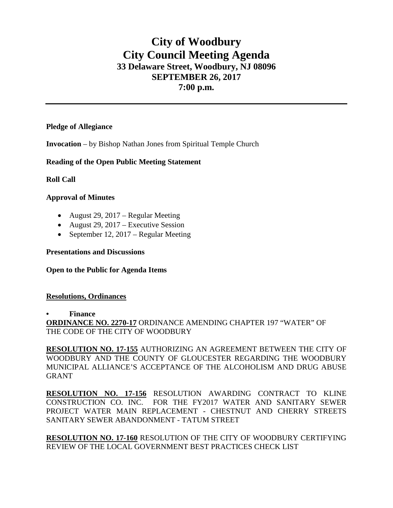# **City of Woodbury City Council Meeting Agenda 33 Delaware Street, Woodbury, NJ 08096 SEPTEMBER 26, 2017 7:00 p.m.**

## **Pledge of Allegiance**

**Invocation** – by Bishop Nathan Jones from Spiritual Temple Church

## **Reading of the Open Public Meeting Statement**

**Roll Call**

## **Approval of Minutes**

- August 29, 2017 Regular Meeting
- August 29, 2017 Executive Session
- September 12, 2017 Regular Meeting

### **Presentations and Discussions**

#### **Open to the Public for Agenda Items**

#### **Resolutions, Ordinances**

#### **• Finance**

**ORDINANCE NO. 2270-17** ORDINANCE AMENDING CHAPTER 197 "WATER" OF THE CODE OF THE CITY OF WOODBURY

**RESOLUTION NO. 17-155** AUTHORIZING AN AGREEMENT BETWEEN THE CITY OF WOODBURY AND THE COUNTY OF GLOUCESTER REGARDING THE WOODBURY MUNICIPAL ALLIANCE'S ACCEPTANCE OF THE ALCOHOLISM AND DRUG ABUSE GRANT

**RESOLUTION NO. 17-156** RESOLUTION AWARDING CONTRACT TO KLINE CONSTRUCTION CO. INC. FOR THE FY2017 WATER AND SANITARY SEWER PROJECT WATER MAIN REPLACEMENT - CHESTNUT AND CHERRY STREETS SANITARY SEWER ABANDONMENT - TATUM STREET

**RESOLUTION NO. 17-160** RESOLUTION OF THE CITY OF WOODBURY CERTIFYING REVIEW OF THE LOCAL GOVERNMENT BEST PRACTICES CHECK LIST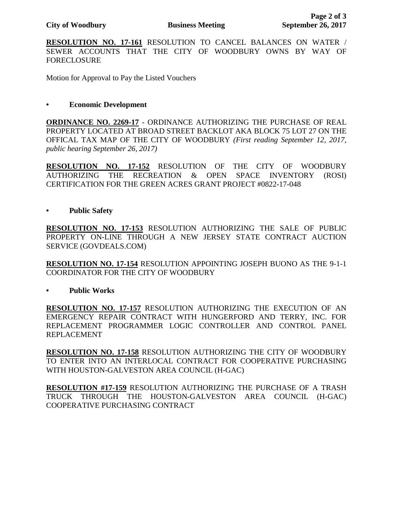**RESOLUTION NO. 17-161** RESOLUTION TO CANCEL BALANCES ON WATER / SEWER ACCOUNTS THAT THE CITY OF WOODBURY OWNS BY WAY OF FORECLOSURE

Motion for Approval to Pay the Listed Vouchers

### **• Economic Development**

**ORDINANCE NO. 2269-17** - ORDINANCE AUTHORIZING THE PURCHASE OF REAL PROPERTY LOCATED AT BROAD STREET BACKLOT AKA BLOCK 75 LOT 27 ON THE OFFICAL TAX MAP OF THE CITY OF WOODBURY *(First reading September 12, 2017, public hearing September 26, 2017)*

**RESOLUTION NO. 17-152** RESOLUTION OF THE CITY OF WOODBURY AUTHORIZING THE RECREATION & OPEN SPACE INVENTORY (ROSI) CERTIFICATION FOR THE GREEN ACRES GRANT PROJECT #0822-17-048

**• Public Safety**

**RESOLUTION NO. 17-153** RESOLUTION AUTHORIZING THE SALE OF PUBLIC PROPERTY ON-LINE THROUGH A NEW JERSEY STATE CONTRACT AUCTION SERVICE (GOVDEALS.COM)

**RESOLUTION NO. 17-154** RESOLUTION APPOINTING JOSEPH BUONO AS THE 9-1-1 COORDINATOR FOR THE CITY OF WOODBURY

**• Public Works** 

**RESOLUTION NO. 17-157** RESOLUTION AUTHORIZING THE EXECUTION OF AN EMERGENCY REPAIR CONTRACT WITH HUNGERFORD AND TERRY, INC. FOR REPLACEMENT PROGRAMMER LOGIC CONTROLLER AND CONTROL PANEL REPLACEMENT

**RESOLUTION NO. 17-158** RESOLUTION AUTHORIZING THE CITY OF WOODBURY TO ENTER INTO AN INTERLOCAL CONTRACT FOR COOPERATIVE PURCHASING WITH HOUSTON-GALVESTON AREA COUNCIL (H-GAC)

**RESOLUTION #17-159** RESOLUTION AUTHORIZING THE PURCHASE OF A TRASH TRUCK THROUGH THE HOUSTON-GALVESTON AREA COUNCIL (H-GAC) COOPERATIVE PURCHASING CONTRACT